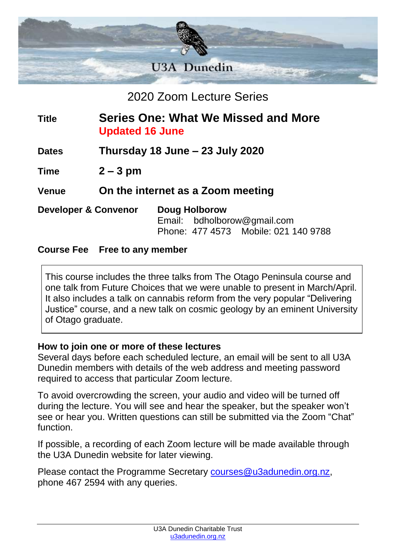

## 2020 Zoom Lecture Series

### **Title Series One: What We Missed and More Updated 16 June**

**Dates Thursday 18 June – 23 July 2020**

**Time 2 – 3 pm**

**Venue On the internet as a Zoom meeting**

**Developer & Convenor Doug Holborow**

Email: bdholborow@gmail.com Phone: 477 4573 Mobile: 021 140 9788

#### **Course Fee Free to any member**

This course includes the three talks from The Otago Peninsula course and one talk from Future Choices that we were unable to present in March/April. It also includes a talk on cannabis reform from the very popular "Delivering Justice" course, and a new talk on cosmic geology by an eminent University of Otago graduate.

#### **How to join one or more of these lectures**

Several days before each scheduled lecture, an email will be sent to all U3A Dunedin members with details of the web address and meeting password required to access that particular Zoom lecture.

To avoid overcrowding the screen, your audio and video will be turned off during the lecture. You will see and hear the speaker, but the speaker won't see or hear you. Written questions can still be submitted via the Zoom "Chat" function.

If possible, a recording of each Zoom lecture will be made available through the U3A Dunedin website for later viewing.

Please contact the Programme Secretary [courses@u3adunedin.org.nz,](mailto:courses@u3adunedin.org.nz) phone 467 2594 with any queries.